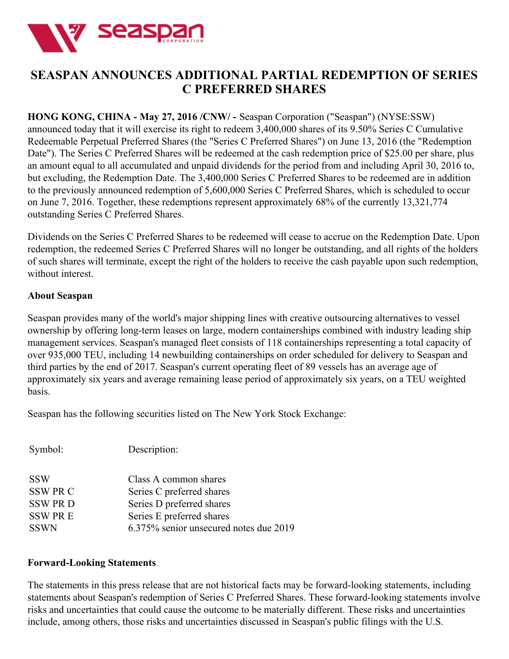

## **SEASPAN ANNOUNCES ADDITIONAL PARTIAL REDEMPTION OF SERIES C PREFERRED SHARES**

## **HONG KONG, CHINA - May 27, 2016 /CNW/ -** Seaspan Corporation ("Seaspan") (NYSE:SSW)

announced today that it will exercise its right to redeem 3,400,000 shares of its 9.50% Series C Cumulative Redeemable Perpetual Preferred Shares (the "Series C Preferred Shares") on June 13, 2016 (the "Redemption Date"). The Series C Preferred Shares will be redeemed at the cash redemption price of \$25.00 per share, plus an amount equal to all accumulated and unpaid dividends for the period from and including April 30, 2016 to, but excluding, the Redemption Date. The 3,400,000 Series C Preferred Shares to be redeemed are in addition to the previously announced redemption of 5,600,000 Series C Preferred Shares, which is scheduled to occur on June 7, 2016. Together, these redemptions represent approximately 68% of the currently 13,321,774 outstanding Series C Preferred Shares.

Dividends on the Series C Preferred Shares to be redeemed will cease to accrue on the Redemption Date. Upon redemption, the redeemed Series C Preferred Shares will no longer be outstanding, and all rights of the holders of such shares will terminate, except the right of the holders to receive the cash payable upon such redemption, without interest.

## **About Seaspan**

Seaspan provides many of the world's major shipping lines with creative outsourcing alternatives to vessel ownership by offering long-term leases on large, modern containerships combined with industry leading ship management services. Seaspan's managed fleet consists of 118 containerships representing a total capacity of over 935,000 TEU, including 14 newbuilding containerships on order scheduled for delivery to Seaspan and third parties by the end of 2017. Seaspan's current operating fleet of 89 vessels has an average age of approximately six years and average remaining lease period of approximately six years, on a TEU weighted basis.

Seaspan has the following securities listed on The New York Stock Exchange:

| Symbol:         | Description:                           |
|-----------------|----------------------------------------|
| <b>SSW</b>      | Class A common shares                  |
| <b>SSW PR C</b> | Series C preferred shares              |
| <b>SSW PRD</b>  | Series D preferred shares              |
| <b>SSW PRE</b>  | Series E preferred shares              |
| <b>SSWN</b>     | 6.375% senior unsecured notes due 2019 |

## **Forward-Looking Statements**

The statements in this press release that are not historical facts may be forward-looking statements, including statements about Seaspan's redemption of Series C Preferred Shares. These forward-looking statements involve risks and uncertainties that could cause the outcome to be materially different. These risks and uncertainties include, among others, those risks and uncertainties discussed in Seaspan's public filings with the U.S.